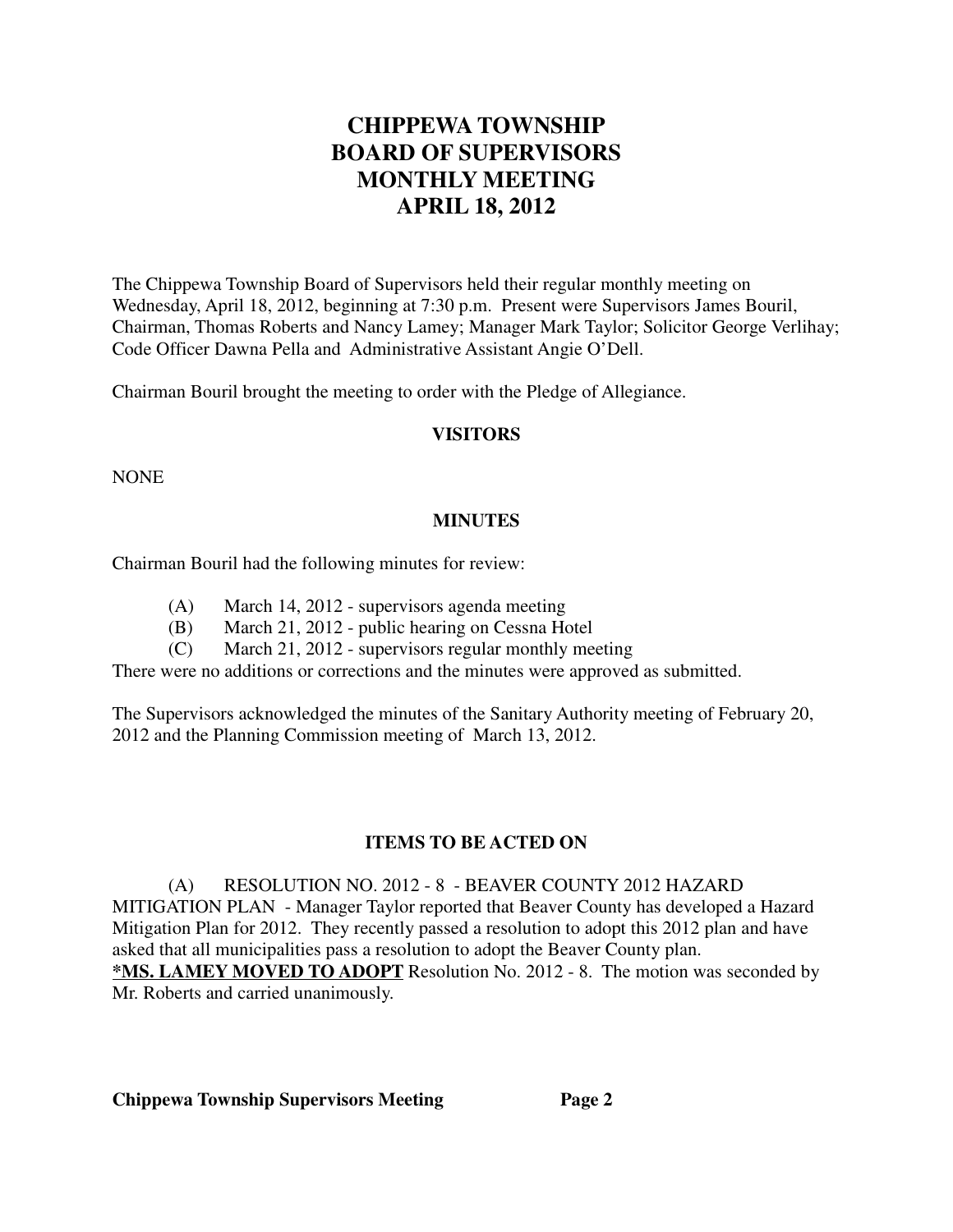# **CHIPPEWA TOWNSHIP BOARD OF SUPERVISORS MONTHLY MEETING APRIL 18, 2012**

The Chippewa Township Board of Supervisors held their regular monthly meeting on Wednesday, April 18, 2012, beginning at 7:30 p.m. Present were Supervisors James Bouril, Chairman, Thomas Roberts and Nancy Lamey; Manager Mark Taylor; Solicitor George Verlihay; Code Officer Dawna Pella and Administrative Assistant Angie O'Dell.

Chairman Bouril brought the meeting to order with the Pledge of Allegiance.

#### **VISITORS**

NONE

# **MINUTES**

Chairman Bouril had the following minutes for review:

- (A) March 14, 2012 supervisors agenda meeting
- (B) March 21, 2012 public hearing on Cessna Hotel
- (C) March 21, 2012 supervisors regular monthly meeting

There were no additions or corrections and the minutes were approved as submitted.

The Supervisors acknowledged the minutes of the Sanitary Authority meeting of February 20, 2012 and the Planning Commission meeting of March 13, 2012.

# **ITEMS TO BE ACTED ON**

(A) RESOLUTION NO. 2012 - 8 - BEAVER COUNTY 2012 HAZARD MITIGATION PLAN - Manager Taylor reported that Beaver County has developed a Hazard Mitigation Plan for 2012. They recently passed a resolution to adopt this 2012 plan and have asked that all municipalities pass a resolution to adopt the Beaver County plan. **\*MS. LAMEY MOVED TO ADOPT** Resolution No. 2012 - 8. The motion was seconded by Mr. Roberts and carried unanimously.

**Chippewa Township Supervisors Meeting Page 2**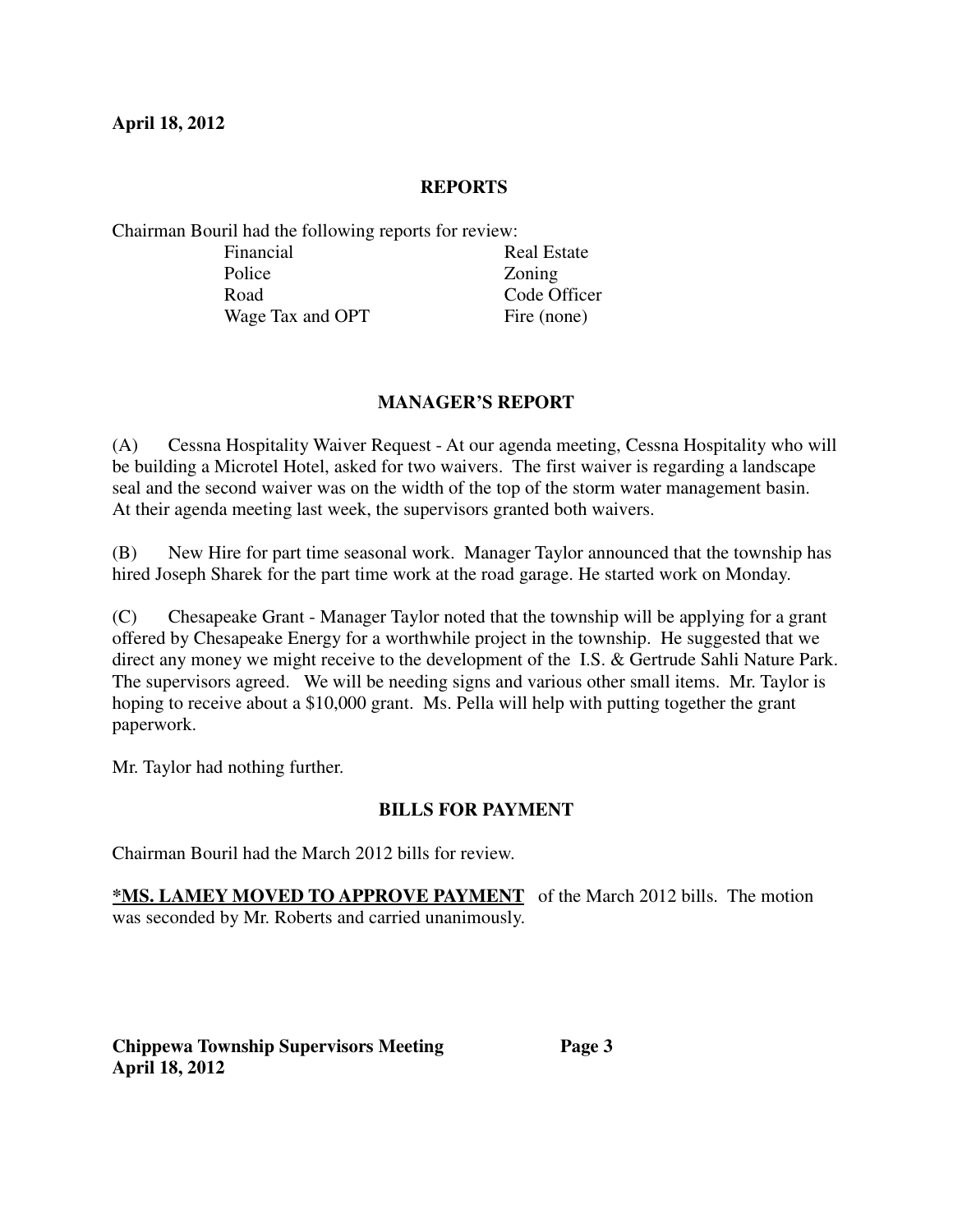#### **REPORTS**

Chairman Bouril had the following reports for review:

| Financial        | <b>Real Estate</b> |
|------------------|--------------------|
| Police           | Zoning             |
| Road             | Code Officer       |
| Wage Tax and OPT | Fire (none)        |

# **MANAGER'S REPORT**

(A) Cessna Hospitality Waiver Request - At our agenda meeting, Cessna Hospitality who will be building a Microtel Hotel, asked for two waivers. The first waiver is regarding a landscape seal and the second waiver was on the width of the top of the storm water management basin. At their agenda meeting last week, the supervisors granted both waivers.

(B) New Hire for part time seasonal work. Manager Taylor announced that the township has hired Joseph Sharek for the part time work at the road garage. He started work on Monday.

(C) Chesapeake Grant - Manager Taylor noted that the township will be applying for a grant offered by Chesapeake Energy for a worthwhile project in the township. He suggested that we direct any money we might receive to the development of the I.S. & Gertrude Sahli Nature Park. The supervisors agreed. We will be needing signs and various other small items. Mr. Taylor is hoping to receive about a \$10,000 grant. Ms. Pella will help with putting together the grant paperwork.

Mr. Taylor had nothing further.

# **BILLS FOR PAYMENT**

Chairman Bouril had the March 2012 bills for review.

**\*MS. LAMEY MOVED TO APPROVE PAYMENT** of the March 2012 bills. The motion was seconded by Mr. Roberts and carried unanimously.

**Chippewa Township Supervisors Meeting Page 3 April 18, 2012**